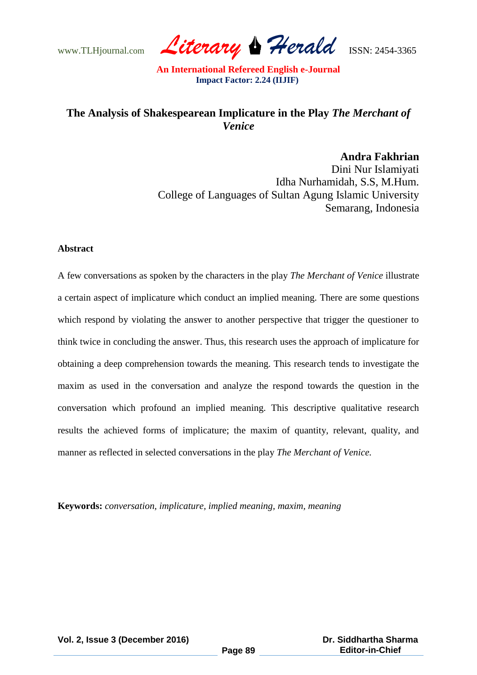www.TLHjournal.com *Literary Herald*ISSN: 2454-3365

## **The Analysis of Shakespearean Implicature in the Play** *The Merchant of Venice*

**Andra Fakhrian** Dini Nur Islamiyati Idha Nurhamidah, S.S, M.Hum. College of Languages of Sultan Agung Islamic University Semarang, Indonesia

#### **Abstract**

A few conversations as spoken by the characters in the play *The Merchant of Venice* illustrate a certain aspect of implicature which conduct an implied meaning. There are some questions which respond by violating the answer to another perspective that trigger the questioner to think twice in concluding the answer. Thus, this research uses the approach of implicature for obtaining a deep comprehension towards the meaning. This research tends to investigate the maxim as used in the conversation and analyze the respond towards the question in the conversation which profound an implied meaning. This descriptive qualitative research results the achieved forms of implicature; the maxim of quantity, relevant, quality, and manner as reflected in selected conversations in the play *The Merchant of Venice.*

**Keywords:** *conversation, implicature, implied meaning, maxim, meaning*

**Vol. 2, Issue 3 (December 2016)**

 **Dr. Siddhartha Sharma Editor-in-Chief**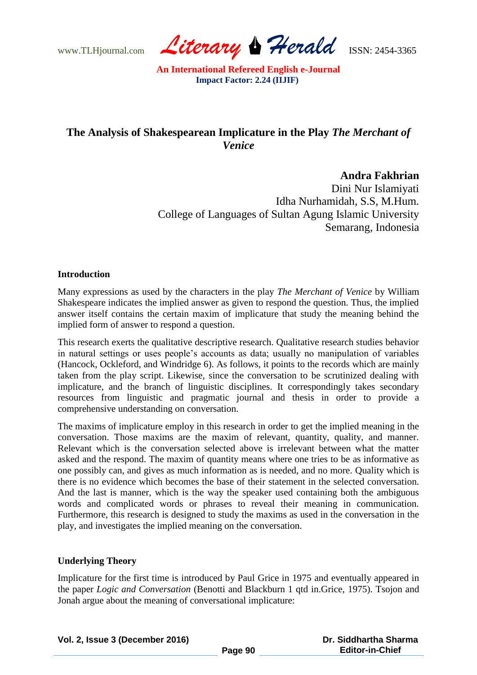www.TLHjournal.com *Literary Herald*ISSN: 2454-3365

# **The Analysis of Shakespearean Implicature in the Play** *The Merchant of Venice*

## **Andra Fakhrian**

Dini Nur Islamiyati Idha Nurhamidah, S.S, M.Hum. College of Languages of Sultan Agung Islamic University Semarang, Indonesia

## **Introduction**

Many expressions as used by the characters in the play *The Merchant of Venice* by William Shakespeare indicates the implied answer as given to respond the question. Thus, the implied answer itself contains the certain maxim of implicature that study the meaning behind the implied form of answer to respond a question.

This research exerts the qualitative descriptive research. Qualitative research studies behavior in natural settings or uses people"s accounts as data; usually no manipulation of variables (Hancock, Ockleford, and Windridge 6). As follows, it points to the records which are mainly taken from the play script. Likewise, since the conversation to be scrutinized dealing with implicature, and the branch of linguistic disciplines. It correspondingly takes secondary resources from linguistic and pragmatic journal and thesis in order to provide a comprehensive understanding on conversation.

The maxims of implicature employ in this research in order to get the implied meaning in the conversation. Those maxims are the maxim of relevant, quantity, quality, and manner. Relevant which is the conversation selected above is irrelevant between what the matter asked and the respond. The maxim of quantity means where one tries to be as informative as one possibly can, and gives as much information as is needed, and no more. Quality which is there is no evidence which becomes the base of their statement in the selected conversation. And the last is manner, which is the way the speaker used containing both the ambiguous words and complicated words or phrases to reveal their meaning in communication. Furthermore, this research is designed to study the maxims as used in the conversation in the play, and investigates the implied meaning on the conversation.

### **Underlying Theory**

Implicature for the first time is introduced by Paul Grice in 1975 and eventually appeared in the paper *Logic and Conversation* (Benotti and Blackburn 1 qtd in.Grice, 1975). Tsojon and Jonah argue about the meaning of conversational implicature: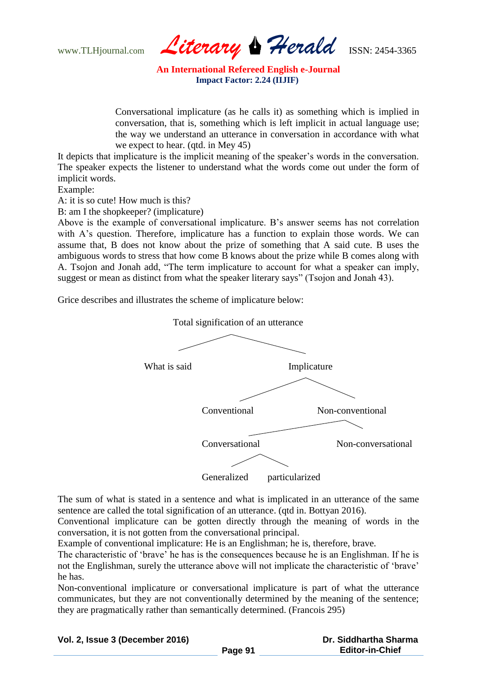www.TLHjournal.com *Literary Herald*ISSN: 2454-3365

Conversational implicature (as he calls it) as something which is implied in conversation, that is, something which is left implicit in actual language use; the way we understand an utterance in conversation in accordance with what we expect to hear. (qtd. in Mey 45)

It depicts that implicature is the implicit meaning of the speaker's words in the conversation. The speaker expects the listener to understand what the words come out under the form of implicit words.

Example:

A: it is so cute! How much is this?

B: am I the shopkeeper? (implicature)

Above is the example of conversational implicature. B"s answer seems has not correlation with A's question. Therefore, implicature has a function to explain those words. We can assume that, B does not know about the prize of something that A said cute. B uses the ambiguous words to stress that how come B knows about the prize while B comes along with A. Tsojon and Jonah add, "The term implicature to account for what a speaker can imply, suggest or mean as distinct from what the speaker literary says" (Tsojon and Jonah 43).

Grice describes and illustrates the scheme of implicature below:



The sum of what is stated in a sentence and what is implicated in an utterance of the same sentence are called the total signification of an utterance. (qtd in. Bottyan 2016).

Conventional implicature can be gotten directly through the meaning of words in the conversation, it is not gotten from the conversational principal.

Example of conventional implicature: He is an Englishman; he is, therefore, brave.

The characteristic of "brave" he has is the consequences because he is an Englishman. If he is not the Englishman, surely the utterance above will not implicate the characteristic of "brave" he has.

Non-conventional implicature or conversational implicature is part of what the utterance communicates, but they are not conventionally determined by the meaning of the sentence; they are pragmatically rather than semantically determined. (Francois 295)

### **Vol. 2, Issue 3 (December 2016)**

 **Dr. Siddhartha Sharma Editor-in-Chief**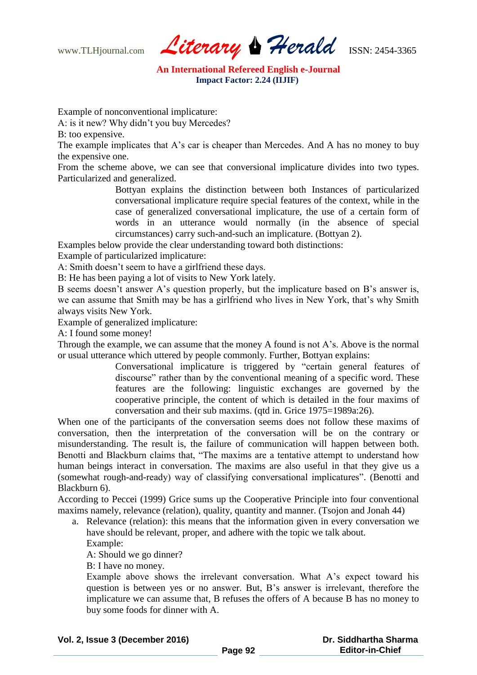www.TLHjournal.com *Literary Herald*ISSN: 2454-3365

Example of nonconventional implicature:

A: is it new? Why didn"t you buy Mercedes?

B: too expensive.

The example implicates that A's car is cheaper than Mercedes. And A has no money to buy the expensive one.

From the scheme above, we can see that conversional implicature divides into two types. Particularized and generalized.

> Bottyan explains the distinction between both Instances of particularized conversational implicature require special features of the context, while in the case of generalized conversational implicature, the use of a certain form of words in an utterance would normally (in the absence of special circumstances) carry such-and-such an implicature. (Bottyan 2).

Examples below provide the clear understanding toward both distinctions:

Example of particularized implicature:

A: Smith doesn"t seem to have a girlfriend these days.

B: He has been paying a lot of visits to New York lately.

B seems doesn't answer A's question properly, but the implicature based on B's answer is, we can assume that Smith may be has a girlfriend who lives in New York, that"s why Smith always visits New York.

Example of generalized implicature:

A: I found some money!

Through the example, we can assume that the money A found is not A"s. Above is the normal or usual utterance which uttered by people commonly. Further, Bottyan explains:

> Conversational implicature is triggered by "certain general features of discourse" rather than by the conventional meaning of a specific word. These features are the following: linguistic exchanges are governed by the cooperative principle, the content of which is detailed in the four maxims of conversation and their sub maxims. (qtd in. Grice 1975=1989a:26).

When one of the participants of the conversation seems does not follow these maxims of conversation, then the interpretation of the conversation will be on the contrary or misunderstanding. The result is, the failure of communication will happen between both. Benotti and Blackburn claims that, "The maxims are a tentative attempt to understand how human beings interact in conversation. The maxims are also useful in that they give us a (somewhat rough-and-ready) way of classifying conversational implicatures". (Benotti and Blackburn 6).

According to Peccei (1999) Grice sums up the Cooperative Principle into four conventional maxims namely, relevance (relation), quality, quantity and manner. (Tsojon and Jonah 44)

a. Relevance (relation): this means that the information given in every conversation we have should be relevant, proper, and adhere with the topic we talk about.

Example:

A: Should we go dinner?

B: I have no money.

Example above shows the irrelevant conversation. What A"s expect toward his question is between yes or no answer. But, B"s answer is irrelevant, therefore the implicature we can assume that, B refuses the offers of A because B has no money to buy some foods for dinner with A.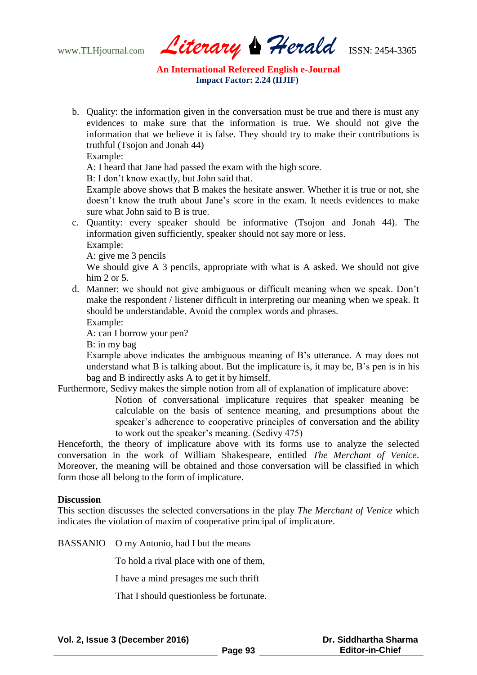www.TLHjournal.com *Literary Herald*ISSN: 2454-3365

b. Quality: the information given in the conversation must be true and there is must any evidences to make sure that the information is true. We should not give the information that we believe it is false. They should try to make their contributions is truthful (Tsojon and Jonah 44)

Example:

A: I heard that Jane had passed the exam with the high score.

B: I don"t know exactly, but John said that.

Example above shows that B makes the hesitate answer. Whether it is true or not, she doesn"t know the truth about Jane"s score in the exam. It needs evidences to make sure what John said to B is true.

c. Quantity: every speaker should be informative (Tsojon and Jonah 44). The information given sufficiently, speaker should not say more or less.

Example:

A: give me 3 pencils

We should give A 3 pencils, appropriate with what is A asked. We should not give him 2 or 5.

- d. Manner: we should not give ambiguous or difficult meaning when we speak. Don"t make the respondent / listener difficult in interpreting our meaning when we speak. It should be understandable. Avoid the complex words and phrases.
	- Example:

A: can I borrow your pen?

B: in my bag

Example above indicates the ambiguous meaning of B"s utterance. A may does not understand what B is talking about. But the implicature is, it may be, B"s pen is in his bag and B indirectly asks A to get it by himself.

Furthermore, Sedivy makes the simple notion from all of explanation of implicature above:

Notion of conversational implicature requires that speaker meaning be calculable on the basis of sentence meaning, and presumptions about the speaker's adherence to cooperative principles of conversation and the ability to work out the speaker"s meaning. (Sedivy 475)

Henceforth, the theory of implicature above with its forms use to analyze the selected conversation in the work of William Shakespeare, entitled *The Merchant of Venice*. Moreover, the meaning will be obtained and those conversation will be classified in which form those all belong to the form of implicature.

#### **Discussion**

This section discusses the selected conversations in the play *The Merchant of Venice* which indicates the violation of maxim of cooperative principal of implicature.

BASSANIO O my Antonio, had I but the means

To hold a rival place with one of them,

I have a mind presages me such thrift

That I should questionless be fortunate.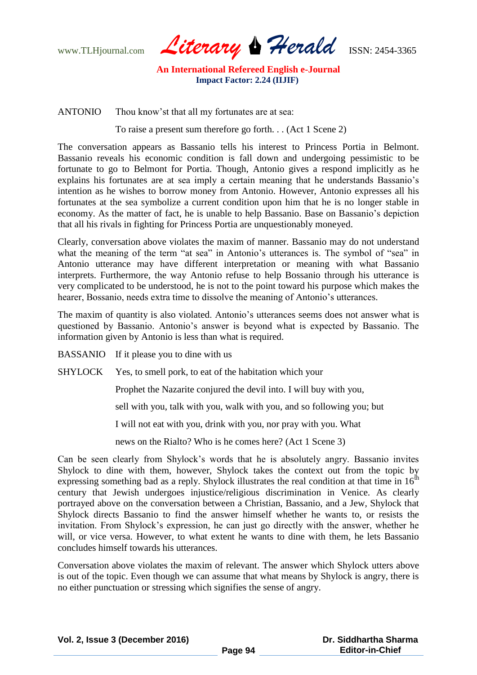www.TLHjournal.com *Literary Herald*ISSN: 2454-3365

ANTONIO Thou know"st that all my fortunates are at sea:

To raise a present sum therefore go forth. . . (Act 1 Scene 2)

The conversation appears as Bassanio tells his interest to Princess Portia in Belmont. Bassanio reveals his economic condition is fall down and undergoing pessimistic to be fortunate to go to Belmont for Portia. Though, Antonio gives a respond implicitly as he explains his fortunates are at sea imply a certain meaning that he understands Bassanio's intention as he wishes to borrow money from Antonio. However, Antonio expresses all his fortunates at the sea symbolize a current condition upon him that he is no longer stable in economy. As the matter of fact, he is unable to help Bassanio. Base on Bassanio"s depiction that all his rivals in fighting for Princess Portia are unquestionably moneyed.

Clearly, conversation above violates the maxim of manner. Bassanio may do not understand what the meaning of the term "at sea" in Antonio's utterances is. The symbol of "sea" in Antonio utterance may have different interpretation or meaning with what Bassanio interprets. Furthermore, the way Antonio refuse to help Bossanio through his utterance is very complicated to be understood, he is not to the point toward his purpose which makes the hearer, Bossanio, needs extra time to dissolve the meaning of Antonio's utterances.

The maxim of quantity is also violated. Antonio"s utterances seems does not answer what is questioned by Bassanio. Antonio"s answer is beyond what is expected by Bassanio. The information given by Antonio is less than what is required.

BASSANIO If it please you to dine with us

SHYLOCK Yes, to smell pork, to eat of the habitation which your

Prophet the Nazarite conjured the devil into. I will buy with you,

sell with you, talk with you, walk with you, and so following you; but

I will not eat with you, drink with you, nor pray with you. What

news on the Rialto? Who is he comes here? (Act 1 Scene 3)

Can be seen clearly from Shylock"s words that he is absolutely angry. Bassanio invites Shylock to dine with them, however, Shylock takes the context out from the topic by expressing something bad as a reply. Shylock illustrates the real condition at that time in  $16<sup>th</sup>$ century that Jewish undergoes injustice/religious discrimination in Venice. As clearly portrayed above on the conversation between a Christian, Bassanio, and a Jew, Shylock that Shylock directs Bassanio to find the answer himself whether he wants to, or resists the invitation. From Shylock"s expression, he can just go directly with the answer, whether he will, or vice versa. However, to what extent he wants to dine with them, he lets Bassanio concludes himself towards his utterances.

Conversation above violates the maxim of relevant. The answer which Shylock utters above is out of the topic. Even though we can assume that what means by Shylock is angry, there is no either punctuation or stressing which signifies the sense of angry.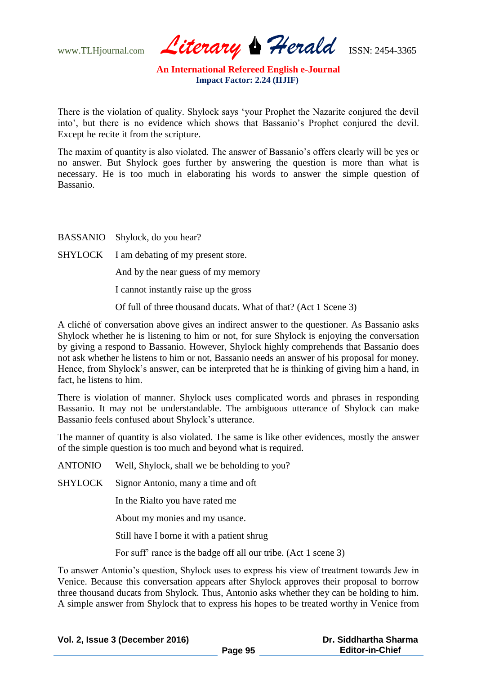www.TLHjournal.com *Literary Herald*ISSN: 2454-3365

There is the violation of quality. Shylock says "your Prophet the Nazarite conjured the devil into", but there is no evidence which shows that Bassanio"s Prophet conjured the devil. Except he recite it from the scripture.

The maxim of quantity is also violated. The answer of Bassanio's offers clearly will be yes or no answer. But Shylock goes further by answering the question is more than what is necessary. He is too much in elaborating his words to answer the simple question of Bassanio.

BASSANIO Shylock, do you hear?

SHYLOCK I am debating of my present store.

And by the near guess of my memory

I cannot instantly raise up the gross

Of full of three thousand ducats. What of that? (Act 1 Scene 3)

A cliché of conversation above gives an indirect answer to the questioner. As Bassanio asks Shylock whether he is listening to him or not, for sure Shylock is enjoying the conversation by giving a respond to Bassanio. However, Shylock highly comprehends that Bassanio does not ask whether he listens to him or not, Bassanio needs an answer of his proposal for money. Hence, from Shylock's answer, can be interpreted that he is thinking of giving him a hand, in fact, he listens to him.

There is violation of manner. Shylock uses complicated words and phrases in responding Bassanio. It may not be understandable. The ambiguous utterance of Shylock can make Bassanio feels confused about Shylock"s utterance.

The manner of quantity is also violated. The same is like other evidences, mostly the answer of the simple question is too much and beyond what is required.

ANTONIO Well, Shylock, shall we be beholding to you?

SHYLOCK Signor Antonio, many a time and oft

In the Rialto you have rated me

About my monies and my usance.

Still have I borne it with a patient shrug

For suff" rance is the badge off all our tribe. (Act 1 scene 3)

To answer Antonio"s question, Shylock uses to express his view of treatment towards Jew in Venice. Because this conversation appears after Shylock approves their proposal to borrow three thousand ducats from Shylock. Thus, Antonio asks whether they can be holding to him. A simple answer from Shylock that to express his hopes to be treated worthy in Venice from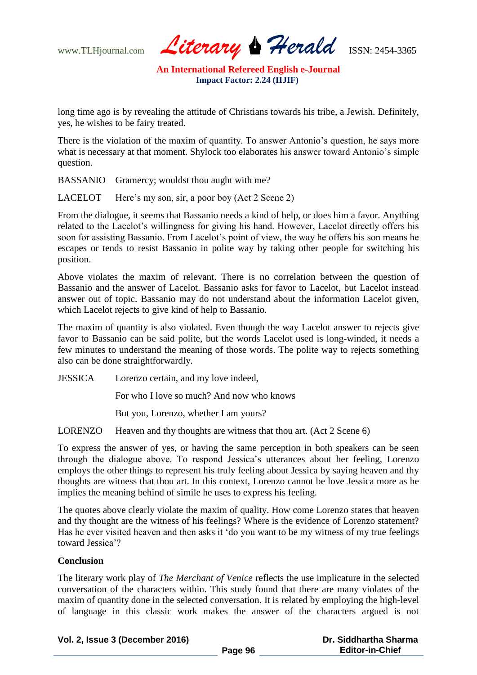www.TLHjournal.com *Literary Herald*ISSN: 2454-3365

long time ago is by revealing the attitude of Christians towards his tribe, a Jewish. Definitely, yes, he wishes to be fairy treated.

There is the violation of the maxim of quantity. To answer Antonio's question, he says more what is necessary at that moment. Shylock too elaborates his answer toward Antonio"s simple question.

BASSANIO Gramercy; wouldst thou aught with me?

LACELOT Here's my son, sir, a poor boy (Act 2 Scene 2)

From the dialogue, it seems that Bassanio needs a kind of help, or does him a favor. Anything related to the Lacelot's willingness for giving his hand. However, Lacelot directly offers his soon for assisting Bassanio. From Lacelot's point of view, the way he offers his son means he escapes or tends to resist Bassanio in polite way by taking other people for switching his position.

Above violates the maxim of relevant. There is no correlation between the question of Bassanio and the answer of Lacelot. Bassanio asks for favor to Lacelot, but Lacelot instead answer out of topic. Bassanio may do not understand about the information Lacelot given, which Lacelot rejects to give kind of help to Bassanio.

The maxim of quantity is also violated. Even though the way Lacelot answer to rejects give favor to Bassanio can be said polite, but the words Lacelot used is long-winded, it needs a few minutes to understand the meaning of those words. The polite way to rejects something also can be done straightforwardly.

JESSICA Lorenzo certain, and my love indeed,

For who I love so much? And now who knows

But you, Lorenzo, whether I am yours?

LORENZO Heaven and thy thoughts are witness that thou art. (Act 2 Scene 6)

To express the answer of yes, or having the same perception in both speakers can be seen through the dialogue above. To respond Jessica"s utterances about her feeling, Lorenzo employs the other things to represent his truly feeling about Jessica by saying heaven and thy thoughts are witness that thou art. In this context, Lorenzo cannot be love Jessica more as he implies the meaning behind of simile he uses to express his feeling.

The quotes above clearly violate the maxim of quality. How come Lorenzo states that heaven and thy thought are the witness of his feelings? Where is the evidence of Lorenzo statement? Has he ever visited heaven and then asks it "do you want to be my witness of my true feelings toward Jessica"?

### **Conclusion**

The literary work play of *The Merchant of Venice* reflects the use implicature in the selected conversation of the characters within. This study found that there are many violates of the maxim of quantity done in the selected conversation. It is related by employing the high-level of language in this classic work makes the answer of the characters argued is not

**Vol. 2, Issue 3 (December 2016)**

 **Dr. Siddhartha Sharma Editor-in-Chief**